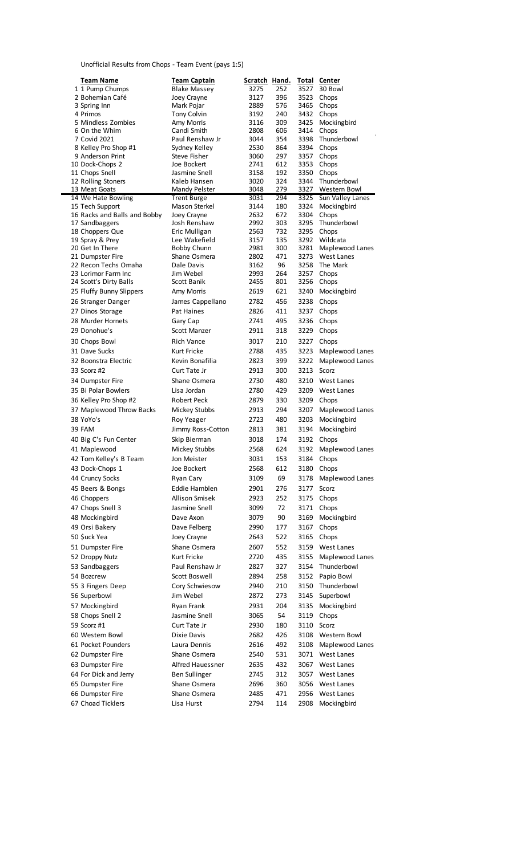## Unofficial Results from Chops - Team Event (pays 1:5)

| Team Name                               | Team Captain                     | Scratch Hand. |            |              | <b>Total Center</b>                |
|-----------------------------------------|----------------------------------|---------------|------------|--------------|------------------------------------|
| 1 1 Pump Chumps                         | <b>Blake Massey</b>              | 3275          | 252        | 3527         | 30 Bowl                            |
| 2 Bohemian Café                         | Joey Crayne                      | 3127          | 396        | 3523         | Chops                              |
| 3 Spring Inn                            | Mark Pojar                       | 2889          | 576        | 3465         | Chops                              |
| 4 Primos<br>5 Mindless Zombies          | <b>Tony Colvin</b><br>Amy Morris | 3192<br>3116  | 240<br>309 | 3432<br>3425 | Chops<br>Mockingbird               |
| 6 On the Whim                           | Candi Smith                      | 2808          | 606        | 3414         | Chops                              |
| 7 Covid 2021                            | Paul Renshaw Jr                  | 3044          | 354        | 3398         | Thunderbowl                        |
| 8 Kelley Pro Shop #1                    | Sydney Kelley                    | 2530          | 864        | 3394         | Chops                              |
| 9 Anderson Print                        | Steve Fisher                     | 3060          | 297        | 3357         | Chops                              |
| 10 Dock-Chops 2                         | Joe Bockert                      | 2741          | 612        | 3353         | Chops                              |
| 11 Chops Snell                          | Jasmine Snell                    | 3158          | 192        | 3350         | Chops                              |
| 12 Rolling Stoners<br>13 Meat Goats     | Kaleb Hansen<br>Mandy Pelster    | 3020<br>3048  | 324<br>279 | 3344<br>3327 | Thunderbowl<br><b>Western Bowl</b> |
| 14 We Hate Bowling                      | <b>Trent Burge</b>               | 3031          | 294        | 3325         | Sun Valley Lanes                   |
| 15 Tech Support                         | <b>Mason Sterkel</b>             | 3144          | 180        | 3324         | Mockingbird                        |
| 16 Racks and Balls and Bobby            | Joey Crayne                      | 2632          | 672        | 3304         | Chops                              |
| 17 Sandbaggers                          | Josh Renshaw                     | 2992          | 303        | 3295         | Thunderbowl                        |
| 18 Choppers Que                         | Eric Mulligan                    | 2563          | 732        | 3295         | Chops                              |
| 19 Spray & Prey                         | Lee Wakefield                    | 3157          | 135        | 3292         | Wildcata                           |
| 20 Get In There<br>21 Dumpster Fire     | Bobby Chunn<br>Shane Osmera      | 2981<br>2802  | 300<br>471 | 3281<br>3273 | Maplewood Lanes<br>West Lanes      |
| 22 Recon Techs Omaha                    | Dale Davis                       | 3162          | 96         | 3258         | The Mark                           |
| 23 Lorimor Farm Inc                     | Jim Webel                        | 2993          | 264        | 3257         | Chops                              |
| 24 Scott's Dirty Balls                  | Scott Banik                      | 2455          | 801        | 3256         | Chops                              |
| 25 Fluffy Bunny Slippers                | Amy Morris                       | 2619          | 621        | 3240         | Mockingbird                        |
| 26 Stranger Danger                      | James Cappellano                 | 2782          | 456        | 3238         | Chops                              |
| 27 Dinos Storage                        | Pat Haines                       | 2826          | 411        | 3237         | Chops                              |
| 28 Murder Hornets                       | Gary Cap                         | 2741          | 495        | 3236         | Chops                              |
| 29 Donohue's                            | <b>Scott Manzer</b>              | 2911          | 318        | 3229         | Chops                              |
| 30 Chops Bowl                           | <b>Rich Vance</b>                | 3017          | 210        | 3227         | Chops                              |
| 31 Dave Sucks                           | Kurt Fricke                      | 2788          | 435        | 3223         | Maplewood Lanes                    |
| 32 Boonstra Electric                    | Kevin Bonafilia                  | 2823          | 399        | 3222         | Maplewood Lanes                    |
|                                         |                                  |               | 300        | 3213         | Scorz                              |
| 33 Scorz #2                             | Curt Tate Jr<br>Shane Osmera     | 2913          | 480        | 3210         |                                    |
| 34 Dumpster Fire<br>35 Bi Polar Bowlers | Lisa Jordan                      | 2730          | 429        | 3209         | <b>West Lanes</b>                  |
|                                         |                                  | 2780          |            |              | West Lanes                         |
| 36 Kelley Pro Shop #2                   | Robert Peck                      | 2879          | 330        | 3209         | Chops                              |
| 37 Maplewood Throw Backs                | Mickey Stubbs                    | 2913          | 294        | 3207         | Maplewood Lanes                    |
| 38 YoYo's                               | <b>Roy Yeager</b>                | 2723          | 480        | 3203         | Mockingbird                        |
| 39 FAM                                  | Jimmy Ross-Cotton                | 2813          | 381        | 3194         | Mockingbird                        |
| 40 Big C's Fun Center                   | Skip Bierman                     | 3018          | 174        | 3192         | Chops                              |
| 41 Maplewood                            | Mickey Stubbs                    | 2568          | 624        | 3192         | Maplewood Lanes                    |
| 42 Tom Kelley's B Team                  | Jon Meister                      | 3031          | 153        |              | 3184 Chops                         |
| 43 Dock-Chops 1                         | Joe Bockert                      | 2568          | 612        | 3180         | Chops                              |
| 44 Cruncy Socks                         | Ryan Cary                        | 3109          | 69         | 3178         | Maplewood Lanes                    |
| 45 Beers & Bongs                        | Eddie Hamblen                    | 2901          | 276        | 3177         | Scorz                              |
| 46 Choppers                             | <b>Allison Smisek</b>            | 2923          | 252        | 3175         | Chops                              |
| 47 Chops Snell 3                        | Jasmine Snell                    | 3099          | 72         | 3171         | Chops                              |
| 48 Mockingbird                          | Dave Axon                        | 3079          | 90         | 3169         | Mockingbird                        |
| 49 Orsi Bakery                          | Dave Felberg                     | 2990          | 177        | 3167         | Chops                              |
| 50 \$uck Yea                            | Joey Crayne                      | 2643          | 522        | 3165         | Chops                              |
| 51 Dumpster Fire                        | Shane Osmera                     | 2607          | 552        | 3159         | West Lanes                         |
| 52 Droppy Nutz                          | Kurt Fricke                      | 2720          | 435        | 3155         | Maplewood Lanes                    |
| 53 Sandbaggers                          | Paul Renshaw Jr                  | 2827          | 327        | 3154         | Thunderbowl                        |
| 54 Bozcrew                              | Scott Boswell                    | 2894          | 258        | 3152         | Papio Bowl                         |
| 55 3 Fingers Deep                       | Cory Schwiesow                   | 2940          | 210        | 3150         | Thunderbowl                        |
| 56 Superbowl                            | Jim Webel                        | 2872          | 273        | 3145         | Superbowl                          |
| 57 Mockingbird                          | Ryan Frank                       | 2931          | 204        | 3135         | Mockingbird                        |
| 58 Chops Snell 2                        | Jasmine Snell                    | 3065          | 54         | 3119         | Chops                              |
| 59 Scorz #1                             | Curt Tate Jr                     | 2930          | 180        | 3110         | Scorz                              |
| 60 Western Bowl                         | Dixie Davis                      | 2682          | 426        | 3108         | Western Bowl                       |
| 61 Pocket Pounders                      | Laura Dennis                     | 2616          | 492        | 3108         | Maplewood Lanes                    |
| 62 Dumpster Fire                        | Shane Osmera                     | 2540          | 531        | 3071         | West Lanes                         |
| 63 Dumpster Fire                        | Alfred Hauessner                 | 2635          | 432        | 3067         | West Lanes                         |
| 64 For Dick and Jerry                   | <b>Ben Sullinger</b>             | 2745          | 312        | 3057         | West Lanes                         |
| 65 Dumpster Fire                        | Shane Osmera                     | 2696          | 360        | 3056         | West Lanes                         |
| 66 Dumpster Fire                        | Shane Osmera                     | 2485          | 471        | 2956         | West Lanes                         |
| 67 Choad Ticklers                       | Lisa Hurst                       | 2794          | 114        | 2908         | Mockingbird                        |